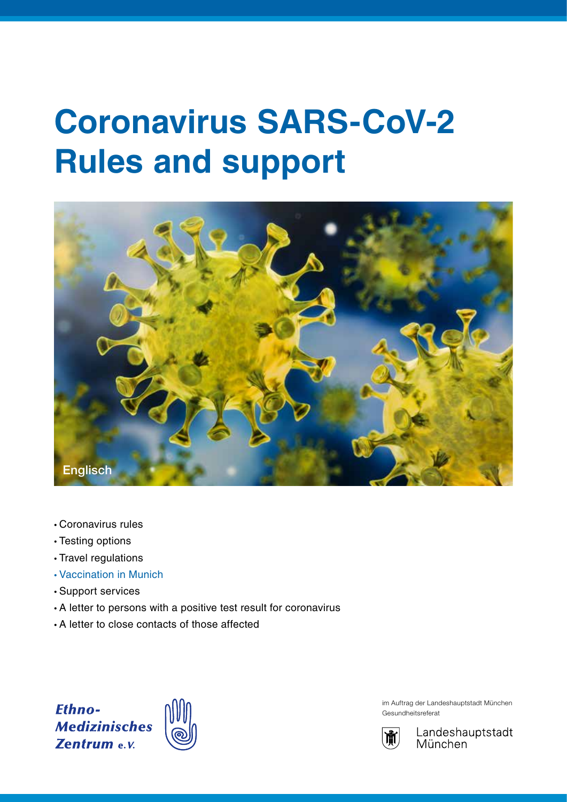# **Coronavirus SARS-CoV-2 Rules and support**



- Coronavirus rules
- Testing options
- Travel regulations
- Vaccination in Munich
- Support services
- A letter to persons with a positive test result for coronavirus
- A letter to close contacts of those affected

**Ethno-Medizinisches Zentrum e.v.** 



im Auftrag der Landeshauptstadt München Gesundheitsreferat



Landeshauptstadt München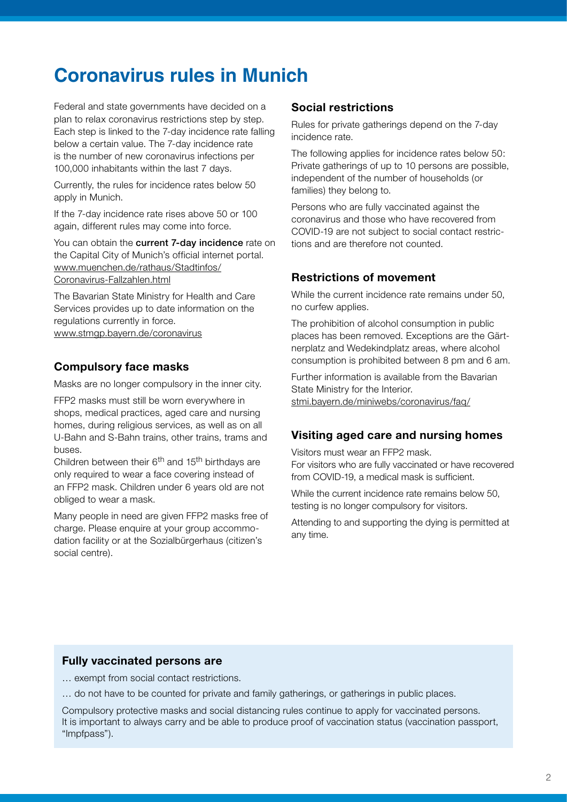# **Coronavirus rules in Munich**

Federal and state governments have decided on a plan to relax coronavirus restrictions step by step. Each step is linked to the 7-day incidence rate falling below a certain value. The 7-day incidence rate is the number of new coronavirus infections per 100,000 inhabitants within the last 7 days.

Currently, the rules for incidence rates below 50 apply in Munich.

If the 7-day incidence rate rises above 50 or 100 again, different rules may come into force.

You can obtain the **current 7-day incidence** rate on the Capital City of Munich's official internet portal. www.muenchen.de/rathaus/Stadtinfos/ Coronavirus-Fallzahlen.html

The Bavarian State Ministry for Health and Care Services provides up to date information on the regulations currently in force.

www.stmgp.bayern.de/coronavirus

# **Compulsory face masks**

Masks are no longer compulsory in the inner city.

FFP2 masks must still be worn everywhere in shops, medical practices, aged care and nursing homes, during religious services, as well as on all U-Bahn and S-Bahn trains, other trains, trams and buses.

Children between their  $6<sup>th</sup>$  and 15<sup>th</sup> birthdays are only required to wear a face covering instead of an FFP2 mask. Children under 6 years old are not obliged to wear a mask.

Many people in need are given FFP2 masks free of charge. Please enquire at your group accommodation facility or at the Sozialbürgerhaus (citizen's social centre).

### **Social restrictions**

Rules for private gatherings depend on the 7-day incidence rate.

The following applies for incidence rates below 50: Private gatherings of up to 10 persons are possible, independent of the number of households (or families) they belong to.

Persons who are fully vaccinated against the coronavirus and those who have recovered from COVID-19 are not subject to social contact restrictions and are therefore not counted.

# **Restrictions of movement**

While the current incidence rate remains under 50, no curfew applies.

The prohibition of alcohol consumption in public places has been removed. Exceptions are the Gärtnerplatz and Wedekindplatz areas, where alcohol consumption is prohibited between 8 pm and 6 am.

Further information is available from the Bavarian State Ministry for the Interior. stmi.bayern.de/miniwebs/coronavirus/faq/

#### **Visiting aged care and nursing homes**

Visitors must wear an FFP2 mask.

For visitors who are fully vaccinated or have recovered from COVID-19, a medical mask is sufficient.

While the current incidence rate remains below 50, testing is no longer compulsory for visitors.

Attending to and supporting the dying is permitted at any time.

#### **Fully vaccinated persons are**

… exempt from social contact restrictions.

… do not have to be counted for private and family gatherings, or gatherings in public places.

Compulsory protective masks and social distancing rules continue to apply for vaccinated persons. It is important to always carry and be able to produce proof of vaccination status (vaccination passport, "Impfpass").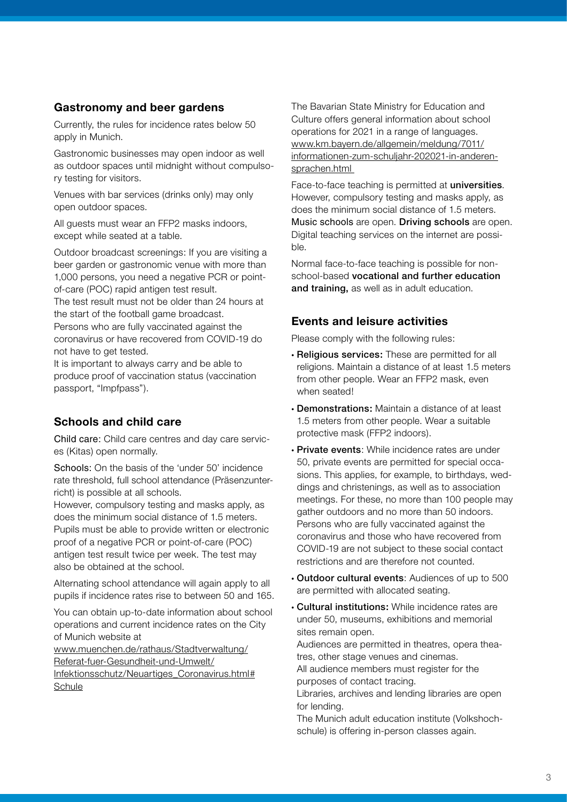# **Gastronomy and beer gardens**

Currently, the rules for incidence rates below 50 apply in Munich.

Gastronomic businesses may open indoor as well as outdoor spaces until midnight without compulsory testing for visitors.

Venues with bar services (drinks only) may only open outdoor spaces.

All guests must wear an FFP2 masks indoors, except while seated at a table.

Outdoor broadcast screenings: If you are visiting a beer garden or gastronomic venue with more than 1,000 persons, you need a negative PCR or pointof-care (POC) rapid antigen test result.

The test result must not be older than 24 hours at the start of the football game broadcast. Persons who are fully vaccinated against the

coronavirus or have recovered from COVID-19 do not have to get tested.

It is important to always carry and be able to produce proof of vaccination status (vaccination passport, "Impfpass").

# **Schools and child care**

Child care: Child care centres and day care services (Kitas) open normally.

Schools: On the basis of the 'under 50' incidence rate threshold, full school attendance (Präsenzunterricht) is possible at all schools.

However, compulsory testing and masks apply, as does the minimum social distance of 1.5 meters. Pupils must be able to provide written or electronic proof of a negative PCR or point-of-care (POC) antigen test result twice per week. The test may also be obtained at the school.

Alternating school attendance will again apply to all pupils if incidence rates rise to between 50 and 165.

You can obtain up-to-date information about school operations and current incidence rates on the City of Munich website at

www.muenchen.de/rathaus/Stadtverwaltung/ Referat-fuer-Gesundheit-und-Umwelt/ Infektionsschutz/Neuartiges\_Coronavirus.html# **Schule** 

The Bavarian State Ministry for Education and Culture offers general information about school operations for 2021 in a range of languages. www.km.bayern.de/allgemein/meldung/7011/ informationen-zum-schuljahr-202021-in-anderensprachen.html

Face-to-face teaching is permitted at universities. However, compulsory testing and masks apply, as does the minimum social distance of 1.5 meters. Music schools are open. Driving schools are open. Digital teaching services on the internet are possible.

Normal face-to-face teaching is possible for nonschool-based vocational and further education and training, as well as in adult education.

# **Events and leisure activities**

Please comply with the following rules:

- Religious services: These are permitted for all religions. Maintain a distance of at least 1.5 meters from other people. Wear an FFP2 mask, even when seated!
- Demonstrations: Maintain a distance of at least 1.5 meters from other people. Wear a suitable protective mask (FFP2 indoors).
- Private events: While incidence rates are under 50, private events are permitted for special occasions. This applies, for example, to birthdays, weddings and christenings, as well as to association meetings. For these, no more than 100 people may gather outdoors and no more than 50 indoors. Persons who are fully vaccinated against the coronavirus and those who have recovered from COVID-19 are not subject to these social contact restrictions and are therefore not counted.
- Outdoor cultural events: Audiences of up to 500 are permitted with allocated seating.
- Cultural institutions: While incidence rates are under 50, museums, exhibitions and memorial sites remain open.

Audiences are permitted in theatres, opera theatres, other stage venues and cinemas.

All audience members must register for the purposes of contact tracing.

Libraries, archives and lending libraries are open for lending.

The Munich adult education institute (Volkshochschule) is offering in-person classes again.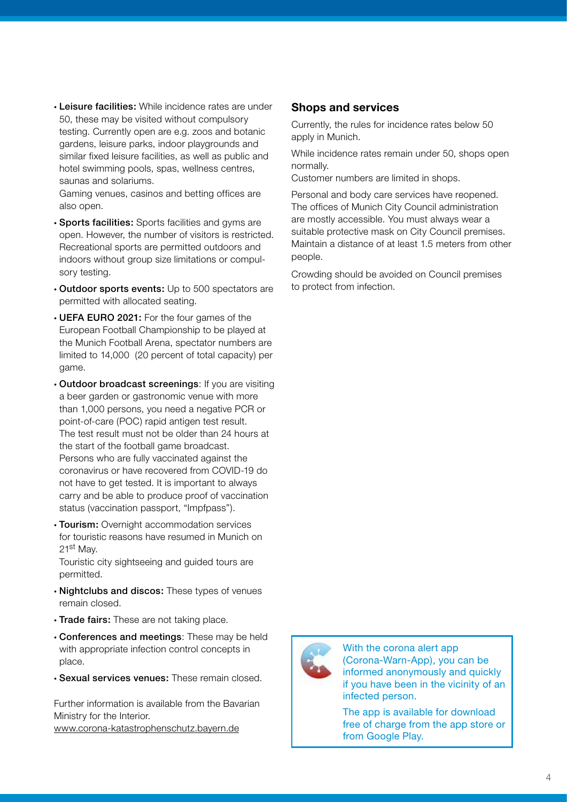• Leisure facilities: While incidence rates are under 50, these may be visited without compulsory testing. Currently open are e.g. zoos and botanic gardens, leisure parks, indoor playgrounds and similar fixed leisure facilities, as well as public and hotel swimming pools, spas, wellness centres, saunas and solariums.

Gaming venues, casinos and betting offices are also open.

- Sports facilities: Sports facilities and gyms are open. However, the number of visitors is restricted. Recreational sports are permitted outdoors and indoors without group size limitations or compulsory testing.
- Outdoor sports events: Up to 500 spectators are permitted with allocated seating.
- UEFA EURO 2021: For the four games of the European Football Championship to be played at the Munich Football Arena, spectator numbers are limited to 14,000 (20 percent of total capacity) per game.
- Outdoor broadcast screenings: If you are visiting a beer garden or gastronomic venue with more than 1,000 persons, you need a negative PCR or point-of-care (POC) rapid antigen test result. The test result must not be older than 24 hours at the start of the football game broadcast. Persons who are fully vaccinated against the coronavirus or have recovered from COVID-19 do not have to get tested. It is important to always carry and be able to produce proof of vaccination status (vaccination passport, "Impfpass").
- Tourism: Overnight accommodation services for touristic reasons have resumed in Munich on 21st May.

Touristic city sightseeing and guided tours are permitted.

- Nightclubs and discos: These types of venues remain closed.
- Trade fairs: These are not taking place.
- Conferences and meetings: These may be held with appropriate infection control concepts in place.
- Sexual services venues: These remain closed.

Further information is available from the Bavarian Ministry for the Interior. www.corona-katastrophenschutz.bayern.de

# **Shops and services**

Currently, the rules for incidence rates below 50 apply in Munich.

While incidence rates remain under 50, shops open normally.

Customer numbers are limited in shops.

Personal and body care services have reopened. The offices of Munich City Council administration are mostly accessible. You must always wear a suitable protective mask on City Council premises. Maintain a distance of at least 1.5 meters from other people.

Crowding should be avoided on Council premises to protect from infection.



With the corona alert app (Corona-Warn-App), you can be informed anonymously and quickly if you have been in the vicinity of an infected person.

The app is available for download free of charge from the app store or from Google Play.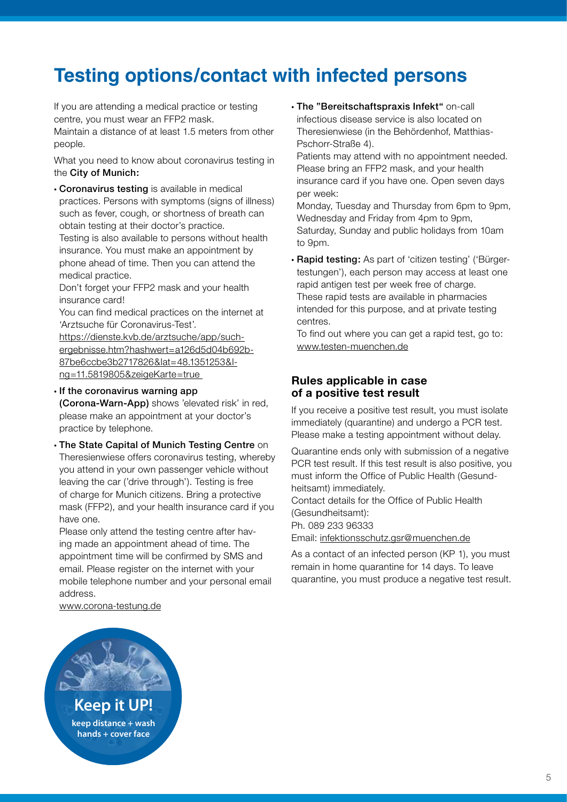# **Testing options/contact with infected persons**

If you are attending a medical practice or testing centre, you must wear an FFP2 mask.

Maintain a distance of at least 1.5 meters from other people.

What you need to know about coronavirus testing in the City of Munich:

• Coronavirus testing is available in medical practices. Persons with symptoms (signs of illness) such as fever, cough, or shortness of breath can obtain testing at their doctor's practice.

Testing is also available to persons without health insurance. You must make an appointment by phone ahead of time. Then you can attend the medical practice.

Don't forget your FFP2 mask and your health insurance card!

You can find medical practices on the internet at 'Arztsuche für Coronavirus-Test'.

https://dienste.kvb.de/arztsuche/app/suchergebnisse.htm?hashwert=a126d5d04b692b-87be6ccbe3b2717826&lat=48.1351253&lng=11.5819805&zeigeKarte=true

• If the coronavirus warning app

(Corona-Warn-App) shows 'elevated risk' in red, please make an appointment at your doctor's practice by telephone.

• The State Capital of Munich Testing Centre on Theresienwiese offers coronavirus testing, whereby you attend in your own passenger vehicle without leaving the car ('drive through'). Testing is free of charge for Munich citizens. Bring a protective mask (FFP2), and your health insurance card if you have one.

Please only attend the testing centre after having made an appointment ahead of time. The appointment time will be confirmed by SMS and email. Please register on the internet with your mobile telephone number and your personal email address.

www.corona-testung.de

• The "Bereitschaftspraxis Infekt" on-call infectious disease service is also located on Theresienwiese (in the Behördenhof, Matthias-Pschorr-Straße 4).

Patients may attend with no appointment needed. Please bring an FFP2 mask, and your health insurance card if you have one. Open seven days per week:

Monday, Tuesday and Thursday from 6pm to 9pm, Wednesday and Friday from 4pm to 9pm, Saturday, Sunday and public holidays from 10am to 9pm.

• Rapid testing: As part of 'citizen testing' ('Bürgertestungen'), each person may access at least one rapid antigen test per week free of charge. These rapid tests are available in pharmacies intended for this purpose, and at private testing centres.

To find out where you can get a rapid test, go to: www.testen-muenchen.de

# **Rules applicable in case of a positive test result**

If you receive a positive test result, you must isolate immediately (quarantine) and undergo a PCR test. Please make a testing appointment without delay.

Quarantine ends only with submission of a negative PCR test result. If this test result is also positive, you must inform the Office of Public Health (Gesundheitsamt) immediately.

Contact details for the Office of Public Health (Gesundheitsamt): Ph. 089 233 96333

Email: infektionsschutz.gsr@muenchen.de

As a contact of an infected person (KP 1), you must remain in home quarantine for 14 days. To leave quarantine, you must produce a negative test result.

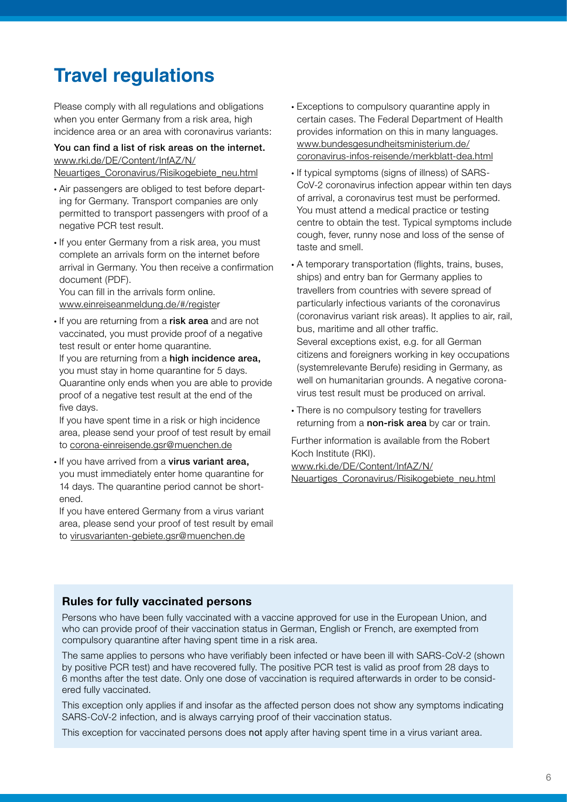# **Travel regulations**

Please comply with all regulations and obligations when you enter Germany from a risk area, high incidence area or an area with coronavirus variants:

# You can find a list of risk areas on the internet. www.rki.de/DE/Content/InfAZ/N/

Neuartiges\_Coronavirus/Risikogebiete\_neu.html

- Air passengers are obliged to test before departing for Germany. Transport companies are only permitted to transport passengers with proof of a negative PCR test result.
- If you enter Germany from a risk area, you must complete an arrivals form on the internet before arrival in Germany. You then receive a confirmation document (PDF).

You can fill in the arrivals form online. www.einreiseanmeldung.de/#/register

• If you are returning from a risk area and are not vaccinated, you must provide proof of a negative test result or enter home quarantine. If you are returning from a high incidence area, you must stay in home quarantine for 5 days. Quarantine only ends when you are able to provide proof of a negative test result at the end of the five days.

If you have spent time in a risk or high incidence area, please send your proof of test result by email to corona-einreisende.gsr@muenchen.de

• If you have arrived from a virus variant area, you must immediately enter home quarantine for 14 days. The quarantine period cannot be shortened.

If you have entered Germany from a virus variant area, please send your proof of test result by email to virusvarianten-gebiete.gsr@muenchen.de

- Exceptions to compulsory quarantine apply in certain cases. The Federal Department of Health provides information on this in many languages. www.bundesgesundheitsministerium.de/ coronavirus-infos-reisende/merkblatt-dea.html
- If typical symptoms (signs of illness) of SARS-CoV-2 coronavirus infection appear within ten days of arrival, a coronavirus test must be performed. You must attend a medical practice or testing centre to obtain the test. Typical symptoms include cough, fever, runny nose and loss of the sense of taste and smell.
- A temporary transportation (flights, trains, buses, ships) and entry ban for Germany applies to travellers from countries with severe spread of particularly infectious variants of the coronavirus (coronavirus variant risk areas). It applies to air, rail, bus, maritime and all other traffic. Several exceptions exist, e.g. for all German citizens and foreigners working in key occupations (systemrelevante Berufe) residing in Germany, as well on humanitarian grounds. A negative coronavirus test result must be produced on arrival.
- There is no compulsory testing for travellers returning from a non-risk area by car or train.

Further information is available from the Robert Koch Institute (RKI). www.rki.de/DE/Content/InfAZ/N/ Neuartiges\_Coronavirus/Risikogebiete\_neu.html

### **Rules for fully vaccinated persons**

Persons who have been fully vaccinated with a vaccine approved for use in the European Union, and who can provide proof of their vaccination status in German, English or French, are exempted from compulsory quarantine after having spent time in a risk area.

The same applies to persons who have verifiably been infected or have been ill with SARS-CoV-2 (shown by positive PCR test) and have recovered fully. The positive PCR test is valid as proof from 28 days to 6 months after the test date. Only one dose of vaccination is required afterwards in order to be considered fully vaccinated.

This exception only applies if and insofar as the affected person does not show any symptoms indicating SARS-CoV-2 infection, and is always carrying proof of their vaccination status.

This exception for vaccinated persons does not apply after having spent time in a virus variant area.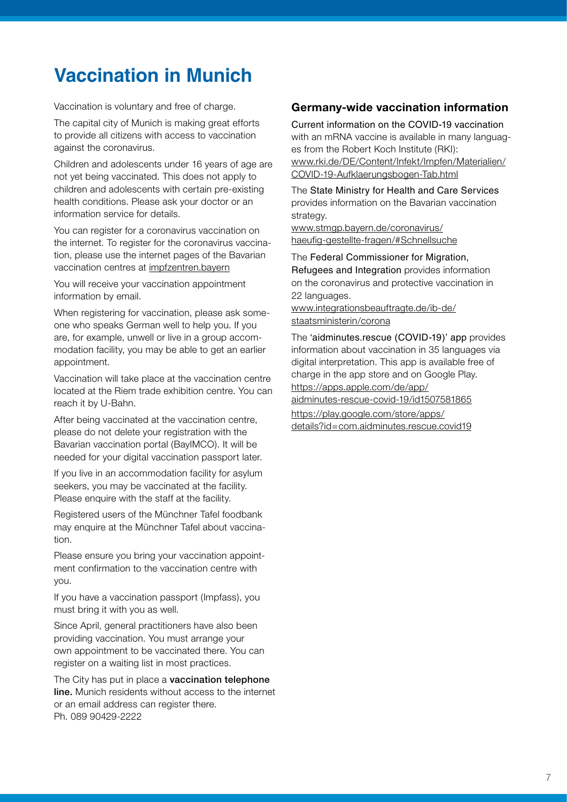# **Vaccination in Munich**

Vaccination is voluntary and free of charge.

The capital city of Munich is making great efforts to provide all citizens with access to vaccination against the coronavirus.

Children and adolescents under 16 years of age are not yet being vaccinated. This does not apply to children and adolescents with certain pre-existing health conditions. Please ask your doctor or an information service for details.

You can register for a coronavirus vaccination on the internet. To register for the coronavirus vaccination, please use the internet pages of the Bavarian vaccination centres at impfzentren.bayern

You will receive your vaccination appointment information by email.

When registering for vaccination, please ask someone who speaks German well to help you. If you are, for example, unwell or live in a group accommodation facility, you may be able to get an earlier appointment.

Vaccination will take place at the vaccination centre located at the Riem trade exhibition centre. You can reach it by U-Bahn.

After being vaccinated at the vaccination centre, please do not delete your registration with the Bavarian vaccination portal (BayIMCO). It will be needed for your digital vaccination passport later.

If you live in an accommodation facility for asylum seekers, you may be vaccinated at the facility. Please enquire with the staff at the facility.

Registered users of the Münchner Tafel foodbank may enquire at the Münchner Tafel about vaccination.

Please ensure you bring your vaccination appointment confirmation to the vaccination centre with you.

If you have a vaccination passport (Impfass), you must bring it with you as well.

Since April, general practitioners have also been providing vaccination. You must arrange your own appointment to be vaccinated there. You can register on a waiting list in most practices.

The City has put in place a **vaccination telephone** line. Munich residents without access to the internet or an email address can register there. Ph. 089 90429-2222

# **Germany-wide vaccination information**

Current information on the COVID-19 vaccination with an mRNA vaccine is available in many languages from the Robert Koch Institute (RKI): www.rki.de/DE/Content/Infekt/Impfen/Materialien/ COVID-19-Aufklaerungsbogen-Tab.html

The State Ministry for Health and Care Services provides information on the Bavarian vaccination strategy.

www.stmgp.bayern.de/coronavirus/ haeufig-gestellte-fragen/#Schnellsuche

The Federal Commissioner for Migration, Refugees and Integration provides information on the coronavirus and protective vaccination in 22 languages.

www.integrationsbeauftragte.de/ib-de/ staatsministerin/corona

The 'aidminutes.rescue (COVID-19)' app provides information about vaccination in 35 languages via digital interpretation. This app is available free of charge in the app store and on Google Play. https://apps.apple.com/de/app/ aidminutes-rescue-covid-19/id1507581865 https://play.google.com/store/apps/

details?id=com.aidminutes.rescue.covid19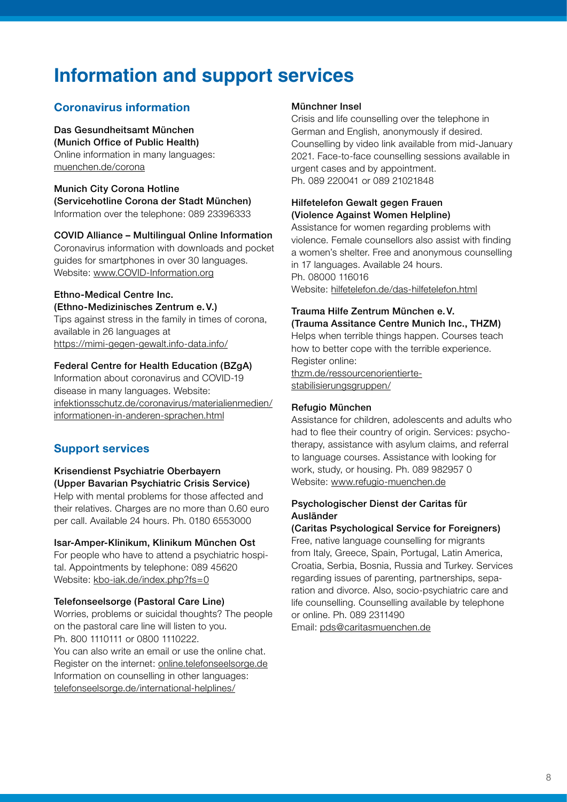# **Information and support services**

# **Coronavirus information**

Das Gesundheitsamt München (Munich Office of Public Health) Online information in many languages: muenchen.de/corona

Munich City Corona Hotline (Servicehotline Corona der Stadt München) Information over the telephone: 089 23396333

#### COVID Alliance – Multilingual Online Information

Coronavirus information with downloads and pocket guides for smartphones in over 30 languages. Website: www.COVID-Information.org

#### Ethno-Medical Centre Inc.

(Ethno-Medizinisches Zentrum e.V.) Tips against stress in the family in times of corona, available in 26 languages at

https://mimi-gegen-gewalt.info-data.info/

#### Federal Centre for Health Education (BZgA)

Information about coronavirus and COVID-19 disease in many languages. Website: infektionsschutz.de/coronavirus/materialienmedien/ informationen-in-anderen-sprachen.html

# **Support services**

# Krisendienst Psychiatrie Oberbayern (Upper Bavarian Psychiatric Crisis Service) Help with mental problems for those affected and

their relatives. Charges are no more than 0.60 euro per call. Available 24 hours. Ph. 0180 6553000

#### Isar-Amper-Klinikum, Klinikum München Ost

For people who have to attend a psychiatric hospital. Appointments by telephone: 089 45620 Website: kbo-iak.de/index.php?fs=0

#### Telefonseelsorge (Pastoral Care Line)

Worries, problems or suicidal thoughts? The people on the pastoral care line will listen to you. Ph. 800 1110111 or 0800 1110222.

You can also write an email or use the online chat. Register on the internet: online.telefonseelsorge.de Information on counselling in other languages: telefonseelsorge.de/international-helplines/

#### Münchner Insel

Crisis and life counselling over the telephone in German and English, anonymously if desired. Counselling by video link available from mid-January 2021. Face-to-face counselling sessions available in urgent cases and by appointment. Ph. 089 220041 or 089 21021848

### Hilfetelefon Gewalt gegen Frauen (Violence Against Women Helpline)

Assistance for women regarding problems with violence. Female counsellors also assist with finding a women's shelter. Free and anonymous counselling in 17 languages. Available 24 hours. Ph. 08000 116016 Website: hilfetelefon.de/das-hilfetelefon.html

### Trauma Hilfe Zentrum München e.V.

(Trauma Assitance Centre Munich Inc., THZM) Helps when terrible things happen. Courses teach how to better cope with the terrible experience. Register online: thzm.de/ressourcenorientierte-

stabilisierungsgruppen/

#### Refugio München

Assistance for children, adolescents and adults who had to flee their country of origin. Services: psychotherapy, assistance with asylum claims, and referral to language courses. Assistance with looking for work, study, or housing. Ph. 089 982957 0 Website: www.refugio-muenchen.de

#### Psychologischer Dienst der Caritas für Ausländer

(Caritas Psychological Service for Foreigners) Free, native language counselling for migrants from Italy, Greece, Spain, Portugal, Latin America, Croatia, Serbia, Bosnia, Russia and Turkey. Services regarding issues of parenting, partnerships, separation and divorce. Also, socio-psychiatric care and life counselling. Counselling available by telephone or online. Ph. 089 2311490

Email: pds@caritasmuenchen.de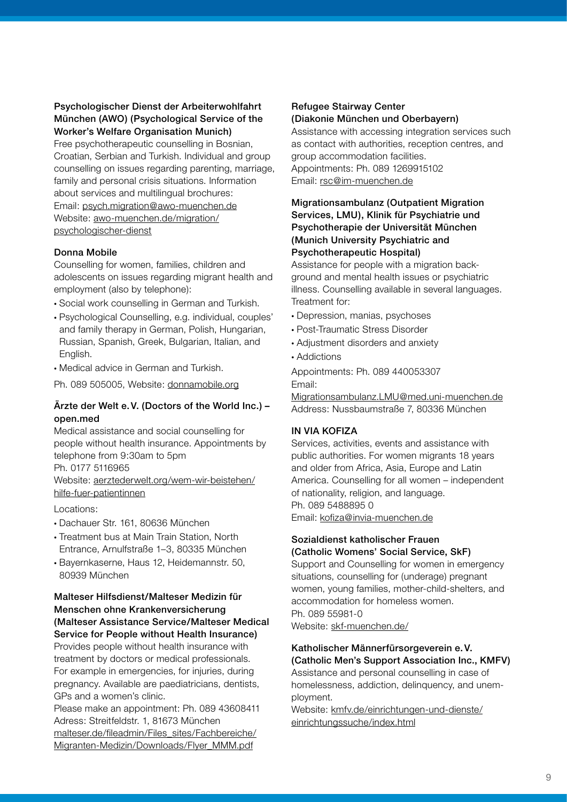#### Psychologischer Dienst der Arbeiterwohlfahrt München (AWO) (Psychological Service of the Worker's Welfare Organisation Munich)

Free psychotherapeutic counselling in Bosnian, Croatian, Serbian and Turkish. Individual and group counselling on issues regarding parenting, marriage, family and personal crisis situations. Information about services and multilingual brochures: Email: psych.migration@awo-muenchen.de Website: awo-muenchen.de/migration/ psychologischer-dienst

#### Donna Mobile

Counselling for women, families, children and adolescents on issues regarding migrant health and employment (also by telephone):

- Social work counselling in German and Turkish.
- Psychological Counselling, e.g. individual, couples' and family therapy in German, Polish, Hungarian, Russian, Spanish, Greek, Bulgarian, Italian, and English.
- Medical advice in German and Turkish.

Ph. 089 505005, Website: donnamobile.org

#### Ärzte der Welt e.V. (Doctors of the World Inc.) – open.med

Medical assistance and social counselling for people without health insurance. Appointments by telephone from 9:30am to 5pm Ph. 0177 5116965

Website: aerztederwelt.org/wem-wir-beistehen/ hilfe-fuer-patientinnen

Locations:

- Dachauer Str. 161, 80636 München
- Treatment bus at Main Train Station, North Entrance, Arnulfstraße 1–3, 80335 München
- Bayernkaserne, Haus 12, Heidemannstr. 50, 80939 München

#### Malteser Hilfsdienst/Malteser Medizin für Menschen ohne Krankenversicherung (Malteser Assistance Service/Malteser Medical

Service for People without Health Insurance) Provides people without health insurance with treatment by doctors or medical professionals. For example in emergencies, for injuries, during pregnancy. Available are paediatricians, dentists, GPs and a women's clinic.

Please make an appointment: Ph. 089 43608411 Adress: Streitfeldstr. 1, 81673 München malteser.de/fileadmin/Files\_sites/Fachbereiche/ Migranten-Medizin/Downloads/Flyer\_MMM.pdf

#### Refugee Stairway Center (Diakonie München und Oberbayern)

Assistance with accessing integration services such as contact with authorities, reception centres, and group accommodation facilities. Appointments: Ph. 089 1269915102 Email: rsc@im-muenchen.de

#### Migrationsambulanz (Outpatient Migration Services, LMU), Klinik für Psychiatrie und Psychotherapie der Universität München (Munich University Psychiatric and Psychotherapeutic Hospital)

Assistance for people with a migration background and mental health issues or psychiatric illness. Counselling available in several languages. Treatment for:

- Depression, manias, psychoses
- Post-Traumatic Stress Disorder
- Adjustment disorders and anxiety
- Addictions

Appointments: Ph. 089 440053307 Email:

Migrationsambulanz.LMU@med.uni-muenchen.de Address: Nussbaumstraße 7, 80336 München

#### IN VIA KOFIZA

Services, activities, events and assistance with public authorities. For women migrants 18 years and older from Africa, Asia, Europe and Latin America. Counselling for all women – independent of nationality, religion, and language. Ph. 089 5488895 0 Email: kofiza@invia-muenchen.de

#### Sozialdienst katholischer Frauen (Catholic Womens' Social Service, SkF)

Support and Counselling for women in emergency situations, counselling for (underage) pregnant women, young families, mother-child-shelters, and accommodation for homeless women. Ph. 089 55981-0 Website: skf-muenchen.de/

#### Katholischer Männerfürsorgeverein e.V. (Catholic Men's Support Association Inc., KMFV)

Assistance and personal counselling in case of homelessness, addiction, delinquency, and unemployment.

Website: kmfv.de/einrichtungen-und-dienste/ einrichtungssuche/index.html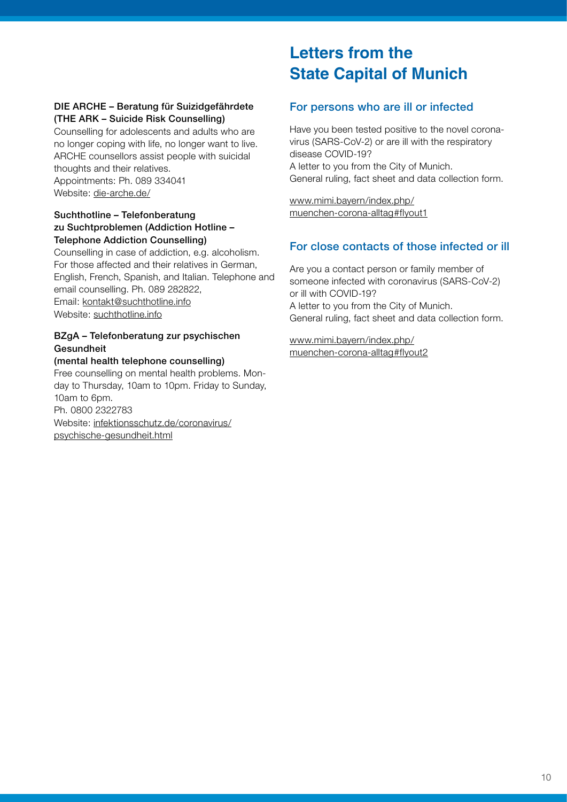#### DIE ARCHE – Beratung für Suizidgefährdete (THE ARK – Suicide Risk Counselling)

Counselling for adolescents and adults who are no longer coping with life, no longer want to live. ARCHE counsellors assist people with suicidal thoughts and their relatives. Appointments: Ph. 089 334041 Website: die-arche.de/

#### Suchthotline – Telefonberatung zu Suchtproblemen (Addiction Hotline -Telephone Addiction Counselling)

Counselling in case of addiction, e.g. alcoholism. For those affected and their relatives in German, English, French, Spanish, and Italian. Telephone and email counselling. Ph. 089 282822, Email: kontakt@suchthotline.info Website: suchthotline.info

# BZgA – Telefonberatung zur psychischen Gesundheit

### (mental health telephone counselling)

Free counselling on mental health problems. Monday to Thursday, 10am to 10pm. Friday to Sunday, 10am to 6pm. Ph. 0800 2322783 Website: infektionsschutz.de/coronavirus/ psychische-gesundheit.html

# **Letters from the State Capital of Munich**

# For persons who are ill or infected

Have you been tested positive to the novel coronavirus (SARS-CoV-2) or are ill with the respiratory disease COVID-19? A letter to you from the City of Munich. General ruling, fact sheet and data collection form.

www.mimi.bayern/index.php/ muenchen-corona-alltag#flyout1

# For close contacts of those infected or ill

Are you a contact person or family member of someone infected with coronavirus (SARS-CoV-2) or ill with COVID-19? A letter to you from the City of Munich. General ruling, fact sheet and data collection form.

www.mimi.bayern/index.php/ muenchen-corona-alltag#flyout2